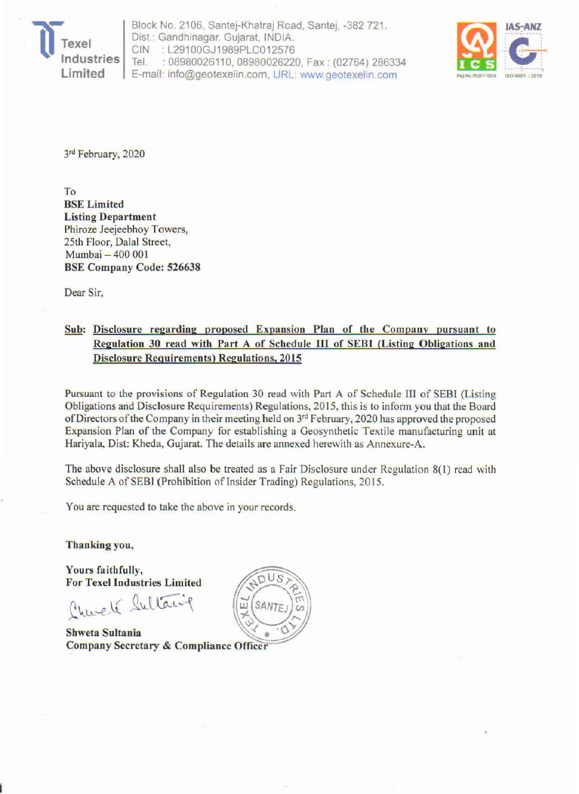

Block No. *2106,* Santej-Khatraj Road, Santej, -382 721 . Dist: Gandhinagar. Gujarat, INDIA, GIN : L29100GJ1989PLG012576 Tel. : *08980026110, 08980026220,* Fax : *(02764) 286334*  E-mail: info@geotexelin.com, URL: www.geotexelin.com



3rd February, 2020

To BSE Limited Listing Department Phiroze Jeejeebhoy Towers, 25th Floor, Dalal Street, Mumbai - 400 001 BSE Company Code: 526638

Dear Sir,

## Sub: Disclosure regarding proposed Expansion Plan of the Company pursuant to Regulation 30 read with Part A of Schedule HI of SEBl (Listing Obligations and Disclosure Requirements) Regulations. 2015

Pursuant to the provisions of Regulation 30 read with Part A of Schedule III of SEBI (Listing Obligations and Disclosure Requirements) Regulations, 2015, this is to inform you that the Board of Directors of the Company in their meeting held on 3rd February, 2020 has approved the proposed Expansion Plan of the Company for establishing a Geosynthetic Textile manufacturing unit at Hariyala, Dist: Kheda. Gujarat. The details are annexed herewith as Annexure-A.

The above disclosure shall also be treated as a Fair Disclosure under Regulation 8(1) read with Schedule A of SEBI (Prohibition of Insider Trading) Regulations, 2015.

You are requested to take the above in your records.

Thanking you,

Yours faithfully, **For Texel Industries Limited** 

Churché Sultanif

Shweta Sultania Company Secretary & Compliance Officer